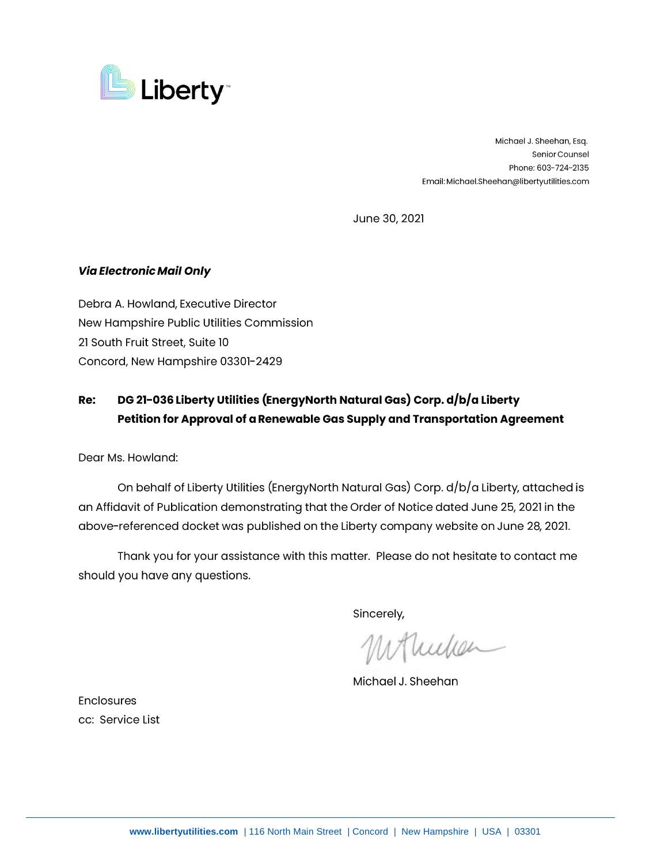

Michael J. Sheehan, Esq. Senior Counsel Phone: 603-724-2135 Email: Michael.Sheehan@libertyutilities.com

June 30, 2021

## **Via Electronic Mail Only**

Debra A. Howland, Executive Director New Hampshire Public Utilities Commission 21 South Fruit Street, Suite 10 Concord, New Hampshire 03301-2429

## **Re: DG 21-036 Liberty Utilities (EnergyNorth Natural Gas) Corp. d/b/a Liberty Petition for Approval of a Renewable Gas Supply and Transportation Agreement**

Dear Ms. Howland:

On behalf of Liberty Utilities (EnergyNorth Natural Gas) Corp. d/b/a Liberty, attached is an Affidavit of Publication demonstrating that the Order of Notice dated June 25, 2021 in the above-referenced docket was published on the Liberty company website on June 28, 2021.

Thank you for your assistance with this matter. Please do not hesitate to contact me should you have any questions.

Sincerely,

Whichen

Michael J. Sheehan

Enclosures cc: Service List